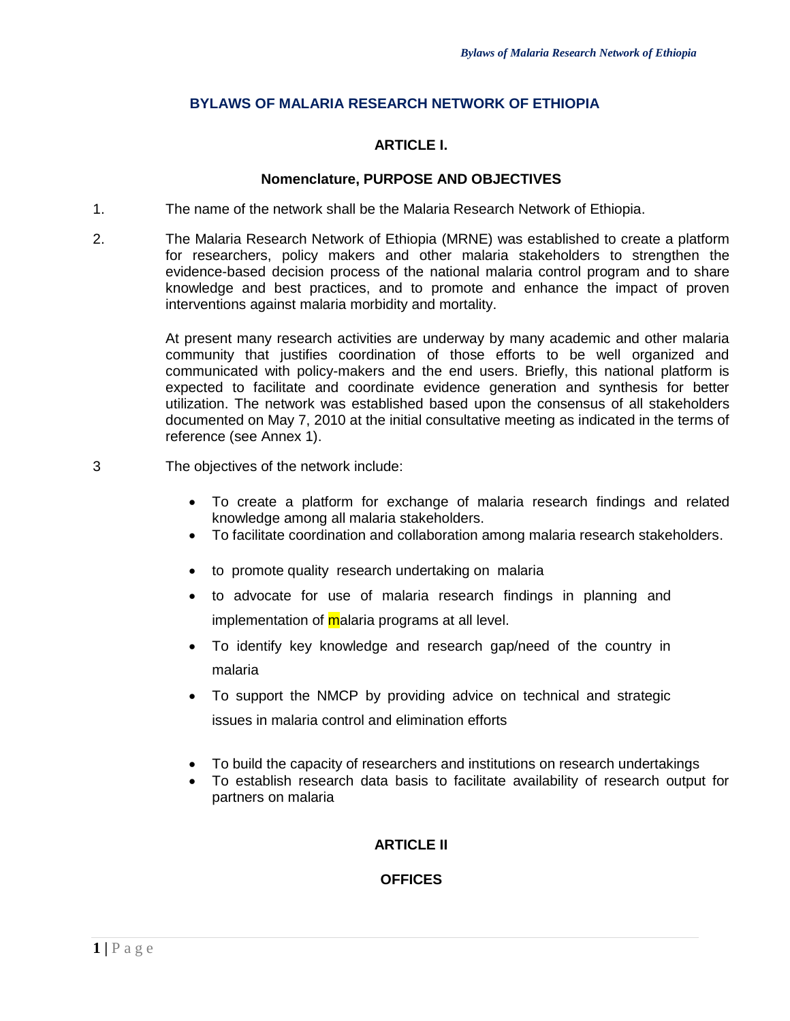# **BYLAWS OF MALARIA RESEARCH NETWORK OF ETHIOPIA**

# **ARTICLE I.**

## **Nomenclature, PURPOSE AND OBJECTIVES**

- 1. The name of the network shall be the Malaria Research Network of Ethiopia.
- 2. The Malaria Research Network of Ethiopia (MRNE) was established to create a platform for researchers, policy makers and other malaria stakeholders to strengthen the evidence-based decision process of the national malaria control program and to share knowledge and best practices, and to promote and enhance the impact of proven interventions against malaria morbidity and mortality.

At present many research activities are underway by many academic and other malaria community that justifies coordination of those efforts to be well organized and communicated with policy-makers and the end users. Briefly, this national platform is expected to facilitate and coordinate evidence generation and synthesis for better utilization. The network was established based upon the consensus of all stakeholders documented on May 7, 2010 at the initial consultative meeting as indicated in the terms of reference (see Annex 1).

- 3 The objectives of the network include:
	- To create a platform for exchange of malaria research findings and related knowledge among all malaria stakeholders.
	- To facilitate coordination and collaboration among malaria research stakeholders.
	- to promote quality research undertaking on malaria
	- to advocate for use of malaria research findings in planning and implementation of malaria programs at all level.
	- To identify key knowledge and research gap/need of the country in malaria
	- To support the NMCP by providing advice on technical and strategic issues in malaria control and elimination efforts
	- To build the capacity of researchers and institutions on research undertakings
	- To establish research data basis to facilitate availability of research output for partners on malaria

## **ARTICLE II**

# **OFFICES**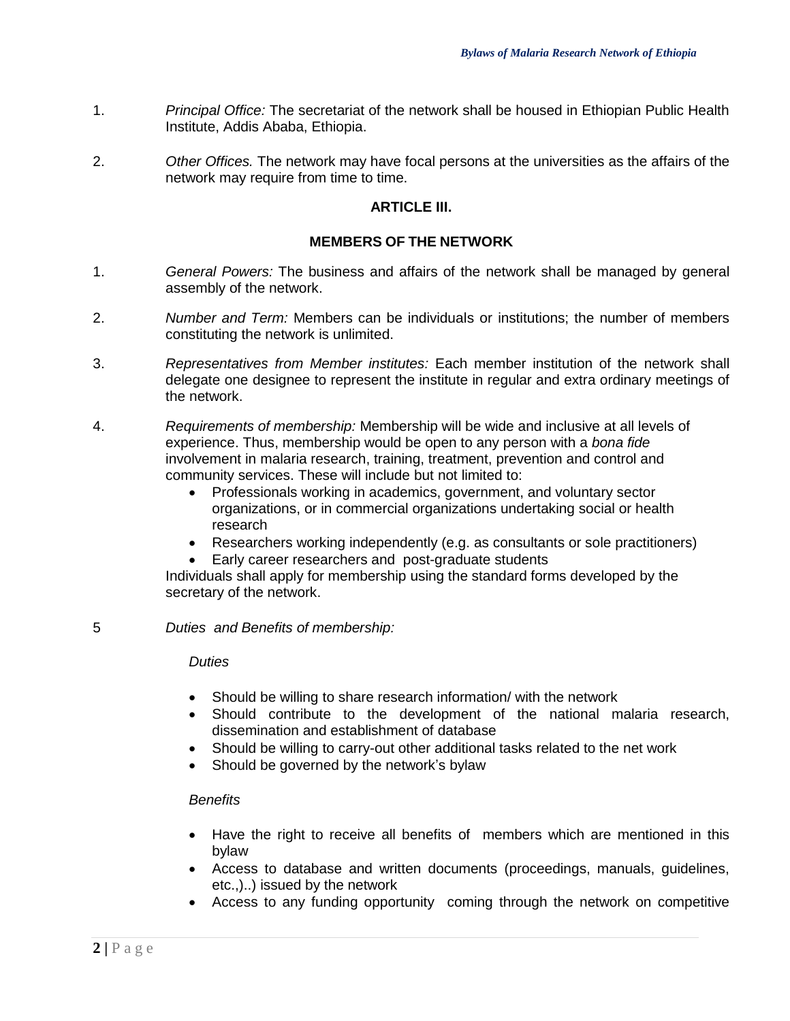- 1. *Principal Office:* The secretariat of the network shall be housed in Ethiopian Public Health Institute, Addis Ababa, Ethiopia.
- 2. *Other Offices.* The network may have focal persons at the universities as the affairs of the network may require from time to time.

#### **ARTICLE III.**

#### **MEMBERS OF THE NETWORK**

- 1. *General Powers:* The business and affairs of the network shall be managed by general assembly of the network.
- 2. *Number and Term:* Members can be individuals or institutions; the number of members constituting the network is unlimited.
- 3. *Representatives from Member institutes:* Each member institution of the network shall delegate one designee to represent the institute in regular and extra ordinary meetings of the network.
- 4. *Requirements of membership:* Membership will be wide and inclusive at all levels of experience. Thus, membership would be open to any person with a *bona fide* involvement in malaria research, training, treatment, prevention and control and community services. These will include but not limited to:
	- Professionals working in academics, government, and voluntary sector organizations, or in commercial organizations undertaking social or health research
	- Researchers working independently (e.g. as consultants or sole practitioners)
	- Early career researchers and post-graduate students

Individuals shall apply for membership using the standard forms developed by the secretary of the network.

5 *Duties and Benefits of membership:* 

#### *Duties*

- Should be willing to share research information/ with the network
- Should contribute to the development of the national malaria research, dissemination and establishment of database
- Should be willing to carry-out other additional tasks related to the net work
- Should be governed by the network's bylaw

#### *Benefits*

- Have the right to receive all benefits of members which are mentioned in this bylaw
- Access to database and written documents (proceedings, manuals, guidelines, etc.,)..) issued by the network
- Access to any funding opportunity coming through the network on competitive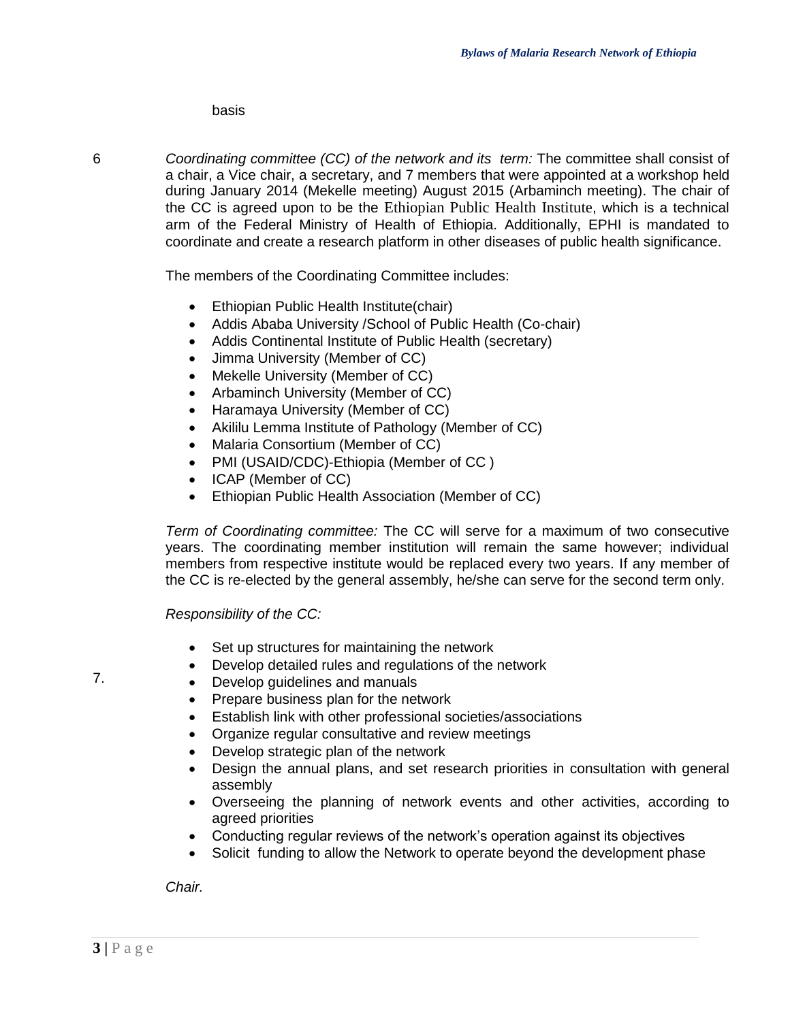#### basis

6 *Coordinating committee (CC) of the network and its term:* The committee shall consist of a chair, a Vice chair, a secretary, and 7 members that were appointed at a workshop held during January 2014 (Mekelle meeting) August 2015 (Arbaminch meeting). The chair of the CC is agreed upon to be the Ethiopian Public Health Institute, which is a technical arm of the Federal Ministry of Health of Ethiopia. Additionally, EPHI is mandated to coordinate and create a research platform in other diseases of public health significance.

The members of the Coordinating Committee includes:

- Ethiopian Public Health Institute(chair)
- Addis Ababa University /School of Public Health (Co-chair)
- Addis Continental Institute of Public Health (secretary)
- Jimma University (Member of CC)
- Mekelle University (Member of CC)
- Arbaminch University (Member of CC)
- Haramaya University (Member of CC)
- Akililu Lemma Institute of Pathology (Member of CC)
- Malaria Consortium (Member of CC)
- PMI (USAID/CDC)-Ethiopia (Member of CC )
- ICAP (Member of CC)
- Ethiopian Public Health Association (Member of CC)

*Term of Coordinating committee:* The CC will serve for a maximum of two consecutive years. The coordinating member institution will remain the same however; individual members from respective institute would be replaced every two years. If any member of the CC is re-elected by the general assembly, he/she can serve for the second term only.

*Responsibility of the CC:* 

- Set up structures for maintaining the network
- Develop detailed rules and regulations of the network
- Develop guidelines and manuals
- Prepare business plan for the network
- Establish link with other professional societies/associations
- Organize regular consultative and review meetings
- Develop strategic plan of the network
- Design the annual plans, and set research priorities in consultation with general assembly
- Overseeing the planning of network events and other activities, according to agreed priorities
- Conducting regular reviews of the network's operation against its objectives
- Solicit funding to allow the Network to operate beyond the development phase

*Chair.*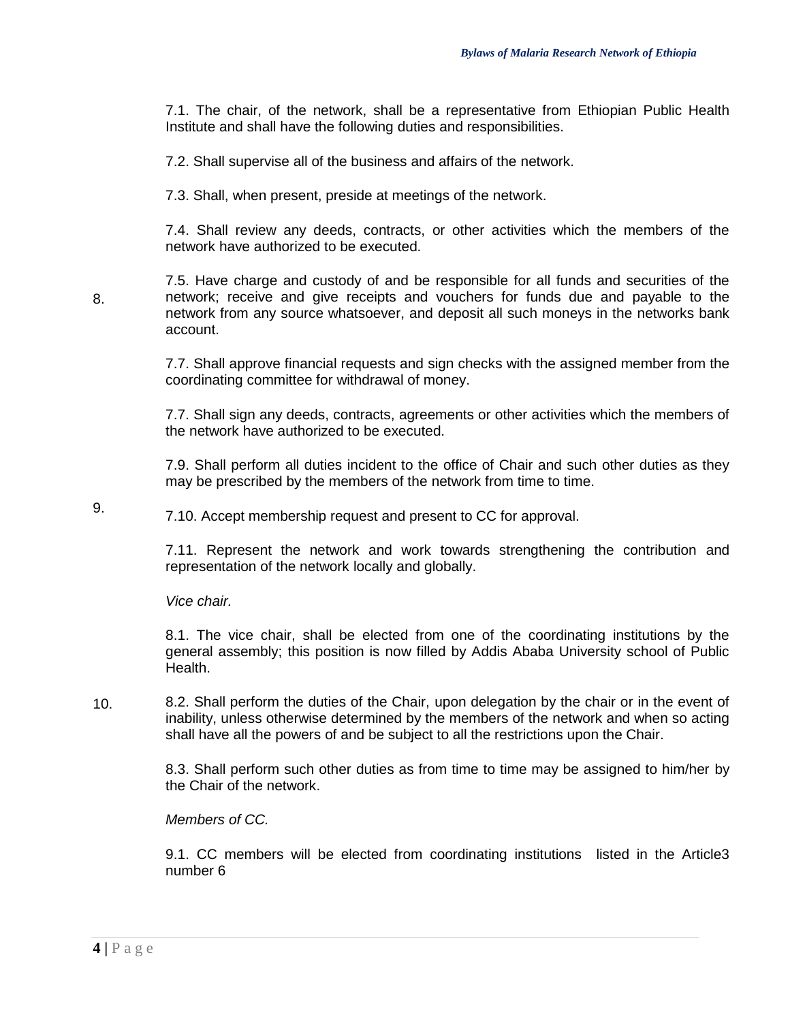7.1. The chair, of the network, shall be a representative from Ethiopian Public Health Institute and shall have the following duties and responsibilities.

7.2. Shall supervise all of the business and affairs of the network.

7.3. Shall, when present, preside at meetings of the network.

7.4. Shall review any deeds, contracts, or other activities which the members of the network have authorized to be executed.

7.5. Have charge and custody of and be responsible for all funds and securities of the network; receive and give receipts and vouchers for funds due and payable to the network from any source whatsoever, and deposit all such moneys in the networks bank account.

7.7. Shall approve financial requests and sign checks with the assigned member from the coordinating committee for withdrawal of money.

7.7. Shall sign any deeds, contracts, agreements or other activities which the members of the network have authorized to be executed.

7.9. Shall perform all duties incident to the office of Chair and such other duties as they may be prescribed by the members of the network from time to time.

9.

8.

7.10. Accept membership request and present to CC for approval.

7.11. Represent the network and work towards strengthening the contribution and representation of the network locally and globally.

*Vice chair.*

8.1. The vice chair, shall be elected from one of the coordinating institutions by the general assembly; this position is now filled by Addis Ababa University school of Public Health.

10. 8.2. Shall perform the duties of the Chair, upon delegation by the chair or in the event of inability, unless otherwise determined by the members of the network and when so acting shall have all the powers of and be subject to all the restrictions upon the Chair.

> 8.3. Shall perform such other duties as from time to time may be assigned to him/her by the Chair of the network.

*Members of CC.*

9.1. CC members will be elected from coordinating institutions listed in the Article3 number 6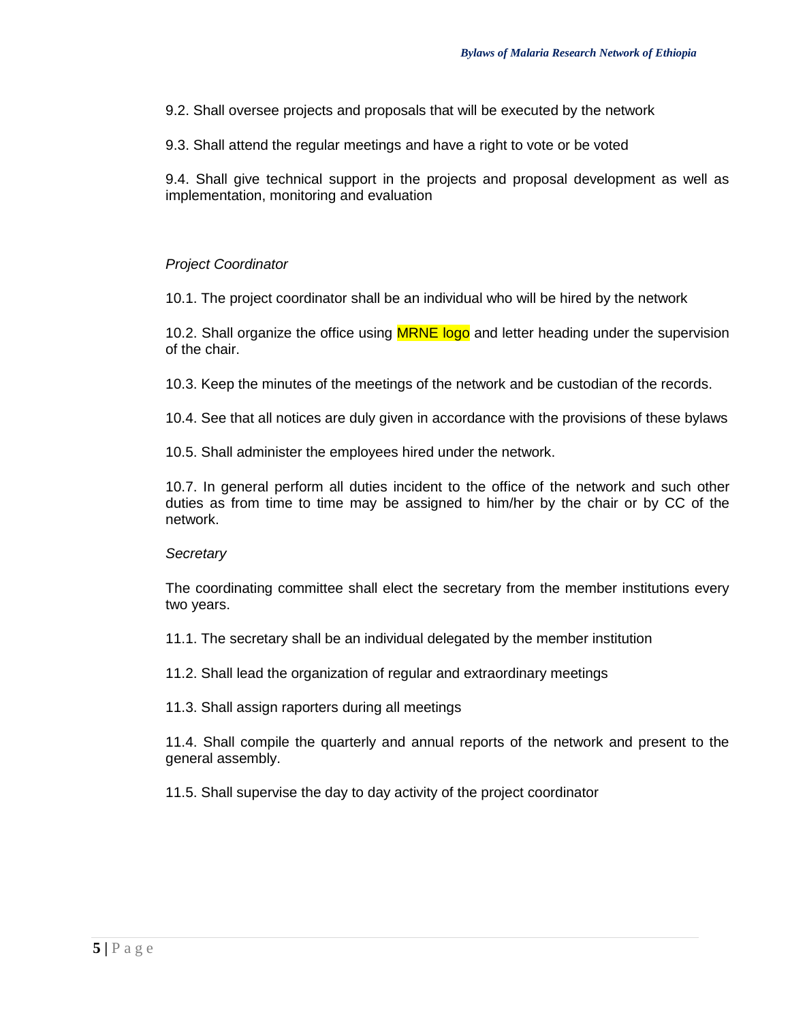9.2. Shall oversee projects and proposals that will be executed by the network

9.3. Shall attend the regular meetings and have a right to vote or be voted

9.4. Shall give technical support in the projects and proposal development as well as implementation, monitoring and evaluation

#### *Project Coordinator*

10.1. The project coordinator shall be an individual who will be hired by the network

10.2. Shall organize the office using **MRNE logo** and letter heading under the supervision of the chair.

10.3. Keep the minutes of the meetings of the network and be custodian of the records.

10.4. See that all notices are duly given in accordance with the provisions of these bylaws

10.5. Shall administer the employees hired under the network.

10.7. In general perform all duties incident to the office of the network and such other duties as from time to time may be assigned to him/her by the chair or by CC of the network.

#### *Secretary*

The coordinating committee shall elect the secretary from the member institutions every two years.

11.1. The secretary shall be an individual delegated by the member institution

11.2. Shall lead the organization of regular and extraordinary meetings

11.3. Shall assign raporters during all meetings

11.4. Shall compile the quarterly and annual reports of the network and present to the general assembly.

11.5. Shall supervise the day to day activity of the project coordinator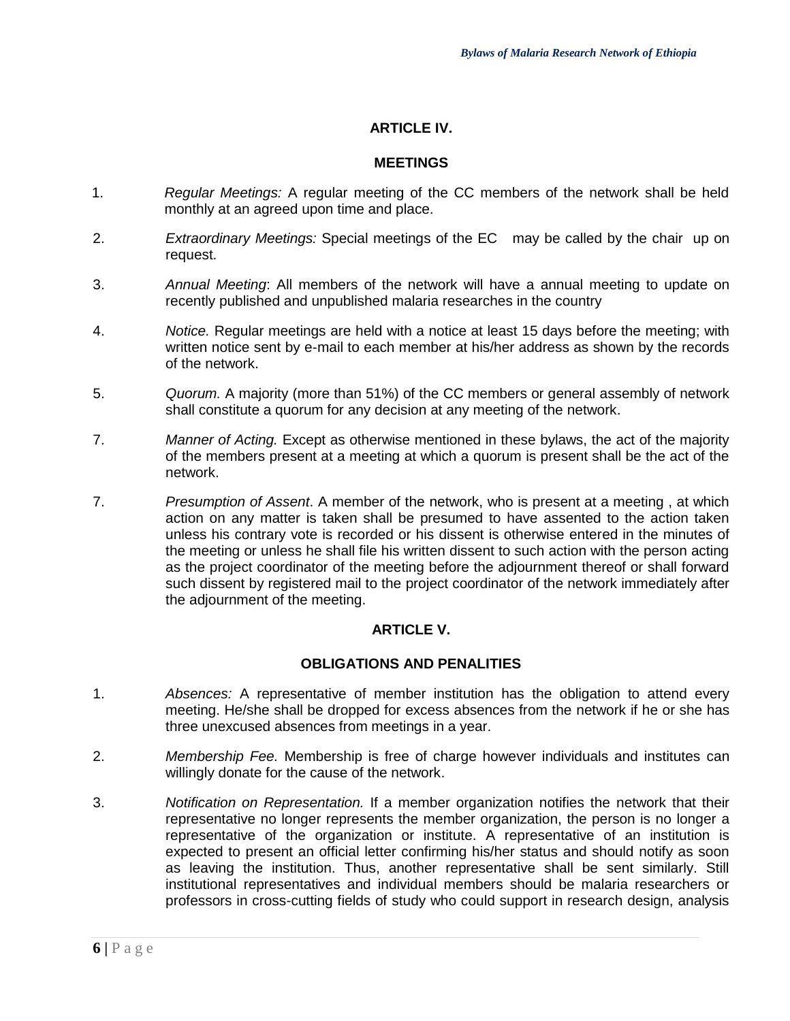# **ARTICLE IV.**

#### **MEETINGS**

- 1. *Regular Meetings:* A regular meeting of the CC members of the network shall be held monthly at an agreed upon time and place.
- 2. *Extraordinary Meetings:* Special meetings of the EC may be called by the chair up on request.
- 3. *Annual Meeting*: All members of the network will have a annual meeting to update on recently published and unpublished malaria researches in the country
- 4. *Notice.* Regular meetings are held with a notice at least 15 days before the meeting; with written notice sent by e-mail to each member at his/her address as shown by the records of the network.
- 5. *Quorum.* A majority (more than 51%) of the CC members or general assembly of network shall constitute a quorum for any decision at any meeting of the network.
- 7. *Manner of Acting.* Except as otherwise mentioned in these bylaws, the act of the majority of the members present at a meeting at which a quorum is present shall be the act of the network.
- 7. *Presumption of Assent*. A member of the network, who is present at a meeting , at which action on any matter is taken shall be presumed to have assented to the action taken unless his contrary vote is recorded or his dissent is otherwise entered in the minutes of the meeting or unless he shall file his written dissent to such action with the person acting as the project coordinator of the meeting before the adjournment thereof or shall forward such dissent by registered mail to the project coordinator of the network immediately after the adjournment of the meeting.

## **ARTICLE V.**

## **OBLIGATIONS AND PENALITIES**

- 1. *Absences:* A representative of member institution has the obligation to attend every meeting. He/she shall be dropped for excess absences from the network if he or she has three unexcused absences from meetings in a year.
- 2. *Membership Fee.* Membership is free of charge however individuals and institutes can willingly donate for the cause of the network.
- 3. *Notification on Representation.* If a member organization notifies the network that their representative no longer represents the member organization, the person is no longer a representative of the organization or institute. A representative of an institution is expected to present an official letter confirming his/her status and should notify as soon as leaving the institution. Thus, another representative shall be sent similarly. Still institutional representatives and individual members should be malaria researchers or professors in cross-cutting fields of study who could support in research design, analysis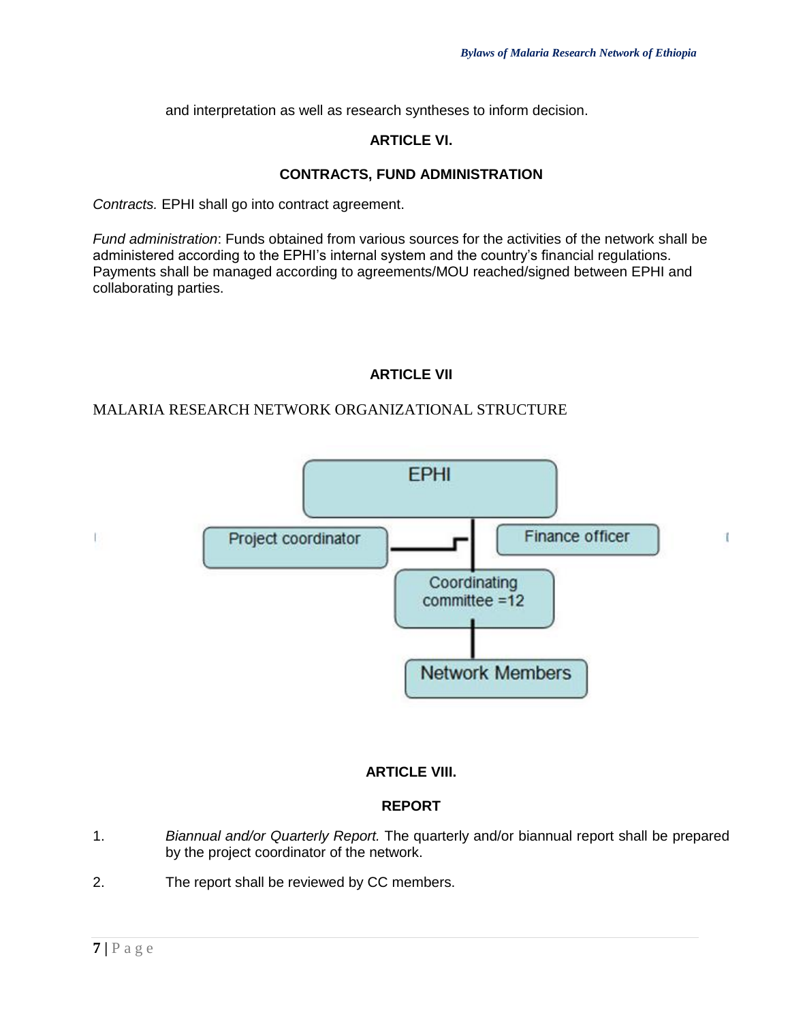and interpretation as well as research syntheses to inform decision.

# **ARTICLE VI.**

## **CONTRACTS, FUND ADMINISTRATION**

*Contracts.* EPHI shall go into contract agreement.

*Fund administration*: Funds obtained from various sources for the activities of the network shall be administered according to the EPHI's internal system and the country's financial regulations. Payments shall be managed according to agreements/MOU reached/signed between EPHI and collaborating parties.

## **ARTICLE VII**

## MALARIA RESEARCH NETWORK ORGANIZATIONAL STRUCTURE



# **ARTICLE VIII.**

# **REPORT**

- 1. *Biannual and/or Quarterly Report.* The quarterly and/or biannual report shall be prepared by the project coordinator of the network.
- 2. The report shall be reviewed by CC members.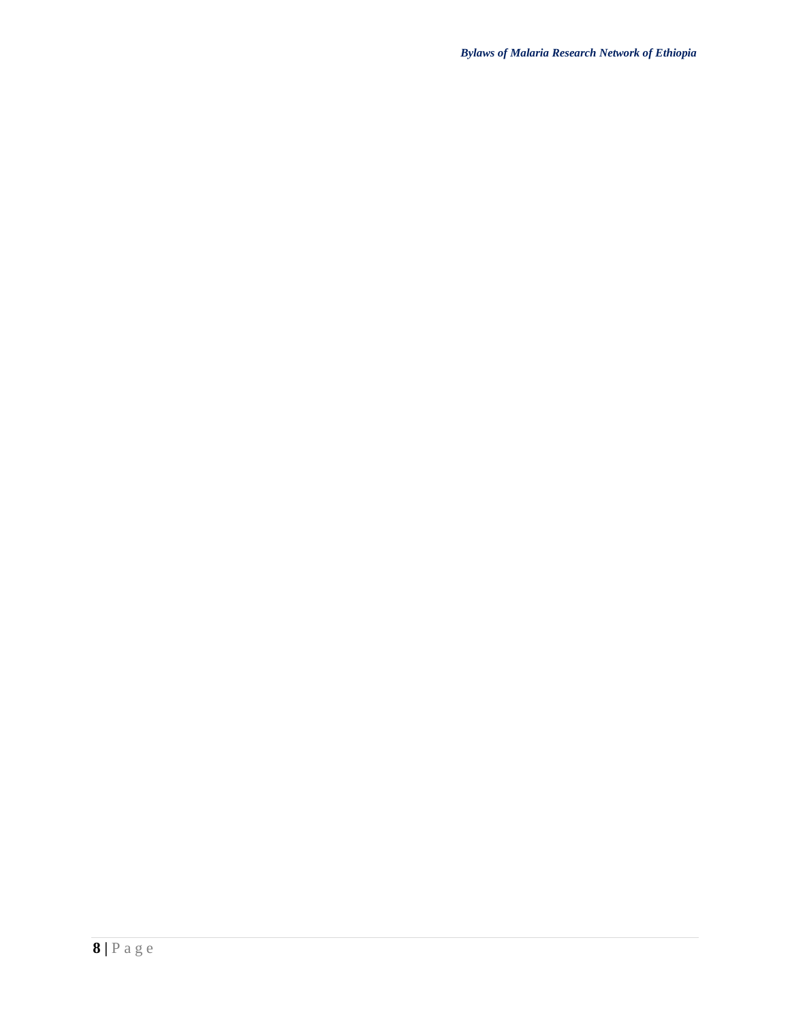*Bylaws of Malaria Research Network of Ethiopia*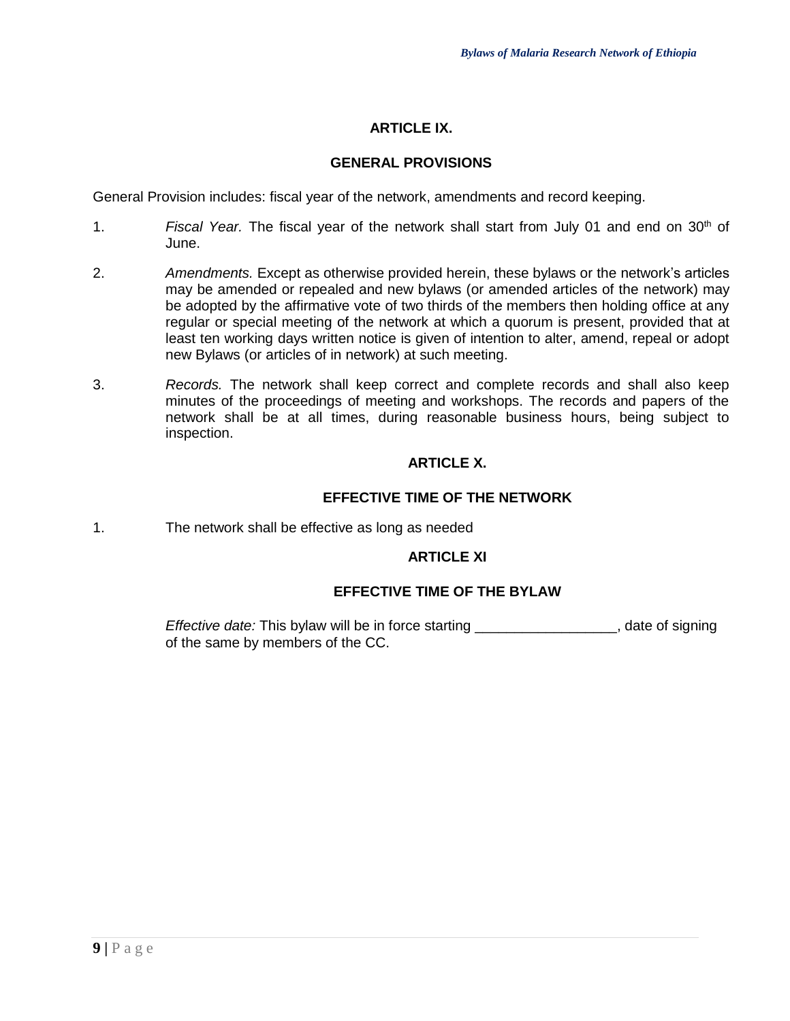# **ARTICLE IX.**

# **GENERAL PROVISIONS**

General Provision includes: fiscal year of the network, amendments and record keeping.

- 1. *Fiscal Year.* The fiscal year of the network shall start from July 01 and end on 30th of June.
- 2. *Amendments.* Except as otherwise provided herein, these bylaws or the network's articles may be amended or repealed and new bylaws (or amended articles of the network) may be adopted by the affirmative vote of two thirds of the members then holding office at any regular or special meeting of the network at which a quorum is present, provided that at least ten working days written notice is given of intention to alter, amend, repeal or adopt new Bylaws (or articles of in network) at such meeting.
- 3. *Records.* The network shall keep correct and complete records and shall also keep minutes of the proceedings of meeting and workshops. The records and papers of the network shall be at all times, during reasonable business hours, being subject to inspection.

## **ARTICLE X.**

## **EFFECTIVE TIME OF THE NETWORK**

1. The network shall be effective as long as needed

## **ARTICLE XI**

## **EFFECTIVE TIME OF THE BYLAW**

*Effective date:* This bylaw will be in force starting \_\_\_\_\_\_\_\_\_\_\_\_\_\_\_\_\_\_, date of signing of the same by members of the CC.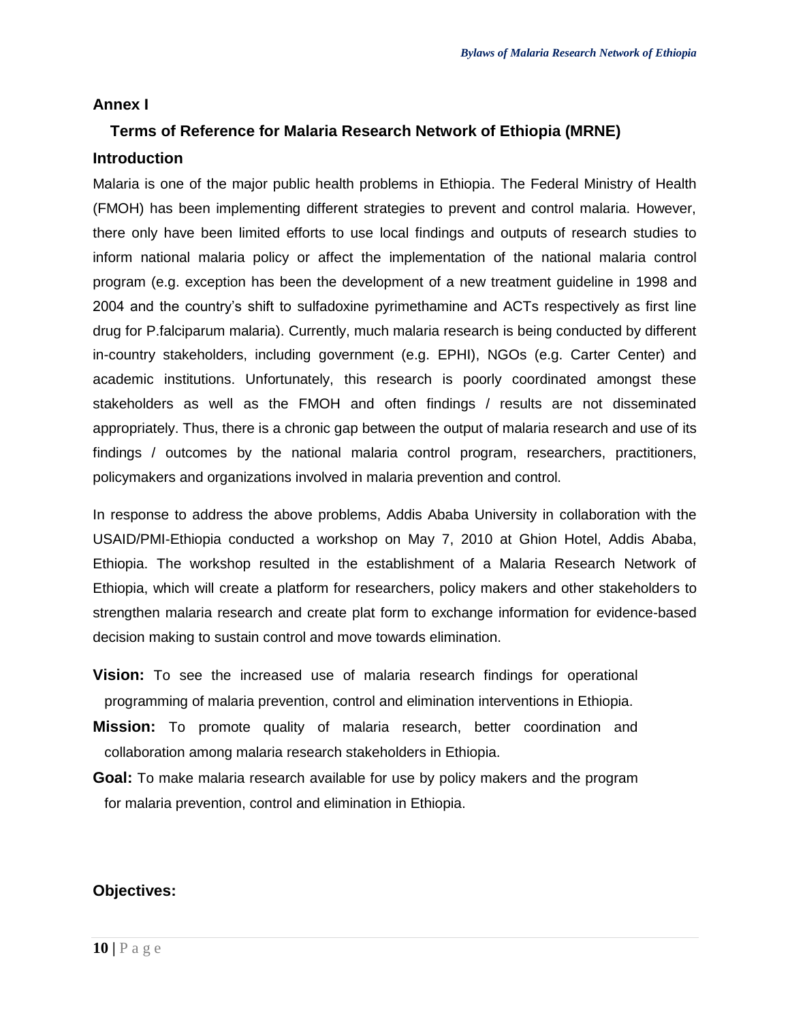#### **Annex I**

# **Terms of Reference for Malaria Research Network of Ethiopia (MRNE) Introduction**

Malaria is one of the major public health problems in Ethiopia. The Federal Ministry of Health (FMOH) has been implementing different strategies to prevent and control malaria. However, there only have been limited efforts to use local findings and outputs of research studies to inform national malaria policy or affect the implementation of the national malaria control program (e.g. exception has been the development of a new treatment guideline in 1998 and 2004 and the country's shift to sulfadoxine pyrimethamine and ACTs respectively as first line drug for P.falciparum malaria). Currently, much malaria research is being conducted by different in-country stakeholders, including government (e.g. EPHI), NGOs (e.g. Carter Center) and academic institutions. Unfortunately, this research is poorly coordinated amongst these stakeholders as well as the FMOH and often findings / results are not disseminated appropriately. Thus, there is a chronic gap between the output of malaria research and use of its findings / outcomes by the national malaria control program, researchers, practitioners, policymakers and organizations involved in malaria prevention and control.

In response to address the above problems, Addis Ababa University in collaboration with the USAID/PMI-Ethiopia conducted a workshop on May 7, 2010 at Ghion Hotel, Addis Ababa, Ethiopia. The workshop resulted in the establishment of a Malaria Research Network of Ethiopia, which will create a platform for researchers, policy makers and other stakeholders to strengthen malaria research and create plat form to exchange information for evidence-based decision making to sustain control and move towards elimination.

- **Vision:** To see the increased use of malaria research findings for operational programming of malaria prevention, control and elimination interventions in Ethiopia.
- **Mission:** To promote quality of malaria research, better coordination and collaboration among malaria research stakeholders in Ethiopia.
- **Goal:** To make malaria research available for use by policy makers and the program for malaria prevention, control and elimination in Ethiopia.

#### **Objectives:**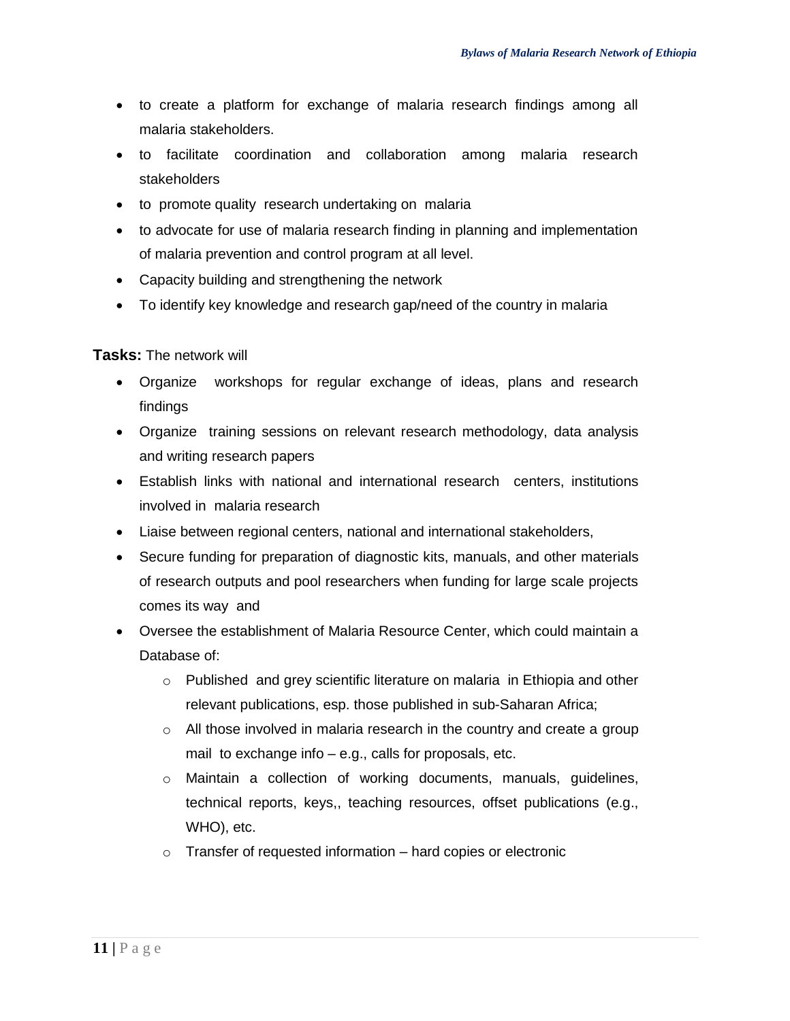- to create a platform for exchange of malaria research findings among all malaria stakeholders.
- to facilitate coordination and collaboration among malaria research stakeholders
- to promote quality research undertaking on malaria
- to advocate for use of malaria research finding in planning and implementation of malaria prevention and control program at all level.
- Capacity building and strengthening the network
- To identify key knowledge and research gap/need of the country in malaria

## **Tasks:** The network will

- Organize workshops for regular exchange of ideas, plans and research findings
- Organize training sessions on relevant research methodology, data analysis and writing research papers
- Establish links with national and international research centers, institutions involved in malaria research
- Liaise between regional centers, national and international stakeholders,
- Secure funding for preparation of diagnostic kits, manuals, and other materials of research outputs and pool researchers when funding for large scale projects comes its way and
- Oversee the establishment of Malaria Resource Center, which could maintain a Database of:
	- o Published and grey scientific literature on malaria in Ethiopia and other relevant publications, esp. those published in sub-Saharan Africa;
	- $\circ$  All those involved in malaria research in the country and create a group mail to exchange info  $-$  e.g., calls for proposals, etc.
	- o Maintain a collection of working documents, manuals, guidelines, technical reports, keys,, teaching resources, offset publications (e.g., WHO), etc.
	- $\circ$  Transfer of requested information hard copies or electronic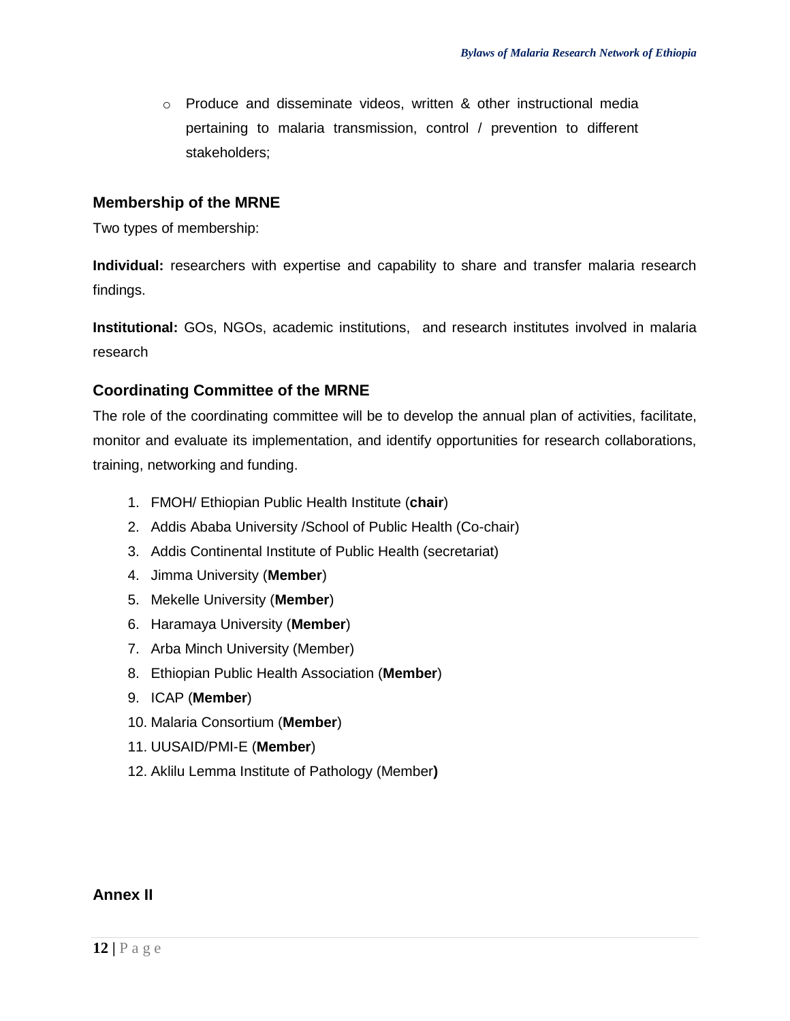o Produce and disseminate videos, written & other instructional media pertaining to malaria transmission, control / prevention to different stakeholders;

## **Membership of the MRNE**

Two types of membership:

**Individual:** researchers with expertise and capability to share and transfer malaria research findings.

**Institutional:** GOs, NGOs, academic institutions, and research institutes involved in malaria research

# **Coordinating Committee of the MRNE**

The role of the coordinating committee will be to develop the annual plan of activities, facilitate, monitor and evaluate its implementation, and identify opportunities for research collaborations, training, networking and funding.

- 1. FMOH/ Ethiopian Public Health Institute (**chair**)
- 2. Addis Ababa University /School of Public Health (Co-chair)
- 3. Addis Continental Institute of Public Health (secretariat)
- 4. Jimma University (**Member**)
- 5. Mekelle University (**Member**)
- 6. Haramaya University (**Member**)
- 7. Arba Minch University (Member)
- 8. Ethiopian Public Health Association (**Member**)
- 9. ICAP (**Member**)
- 10. Malaria Consortium (**Member**)
- 11. UUSAID/PMI-E (**Member**)
- 12. Aklilu Lemma Institute of Pathology (Member**)**

# **Annex II**